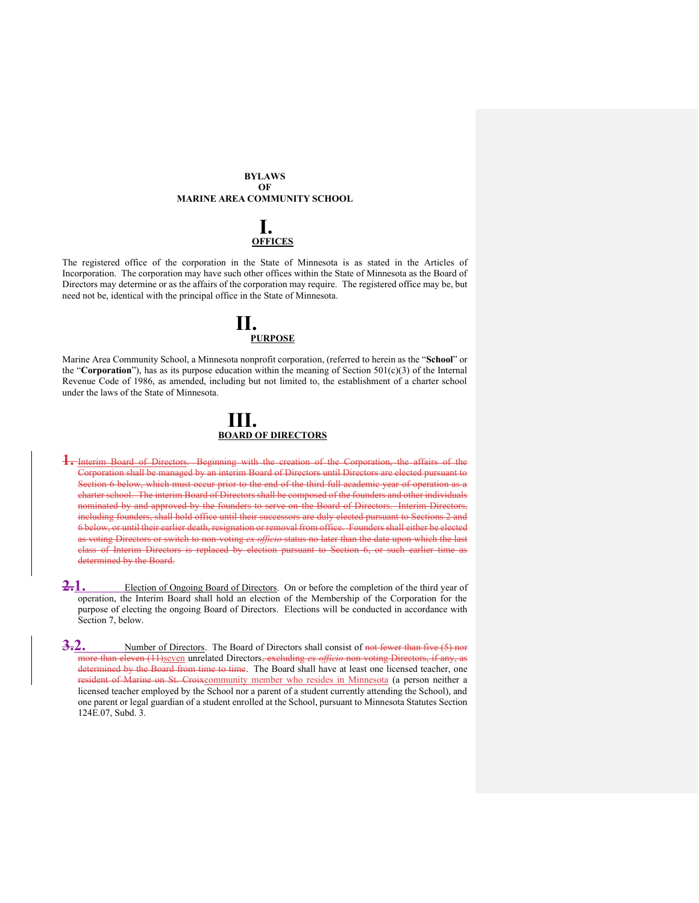#### **BYLAWS OF MARINE AREA COMMUNITY SCHOOL**

## **I. OFFICES**

The registered office of the corporation in the State of Minnesota is as stated in the Articles of Incorporation. The corporation may have such other offices within the State of Minnesota as the Board of Directors may determine or as the affairs of the corporation may require. The registered office may be, but need not be, identical with the principal office in the State of Minnesota.

## **II. PURPOSE**

Marine Area Community School, a Minnesota nonprofit corporation, (referred to herein as the "**School**" or the "**Corporation**"), has as its purpose education within the meaning of Section  $501(c)(3)$  of the Internal Revenue Code of 1986, as amended, including but not limited to, the establishment of a charter school under the laws of the State of Minnesota.

### **III. BOARD OF DIRECTORS**

- **1.** Interim Board of Directors. Beginning with the creation of the Corporation, the affairs of the Corporation shall be managed by an interim Board of Directors until Directors are elected pursuant to Section 6 below, which must occur prior to the end of the third full academic year of operation as a charter school. The interim Board of Directors shall be composed of the founders and other individuals nominated by and approved by the founders to serve on the Board of Directors. Interim Directors, including founders, shall hold office until their successors are duly elected pursuant to Sections 2 and 6 below, or until their earlier death, resignation or removal from office. Founders shall either be elected as voting Directors or switch to non-voting *ex officio* status no later than the date upon which the last class of Interim Directors is replaced by election pursuant to Section 6, or such earlier time as determined by the Board.
- 2.1. Election of Ongoing Board of Directors. On or before the completion of the third year of operation, the Interim Board shall hold an election of the Membership of the Corporation for the purpose of electing the ongoing Board of Directors. Elections will be conducted in accordance with Section 7, below.
- **3.2.** Number of Directors. The Board of Directors shall consist of not fewer than five (5) nor more than eleven (11)seven unrelated Directors, excluding *ex officio* non-voting Directors, if any, as determined by the Board from time to time. The Board shall have at least one licensed teacher, one resident of Marine on St. Croixcommunity member who resides in Minnesota (a person neither a licensed teacher employed by the School nor a parent of a student currently attending the School), and one parent or legal guardian of a student enrolled at the School, pursuant to Minnesota Statutes Section 124E.07, Subd. 3.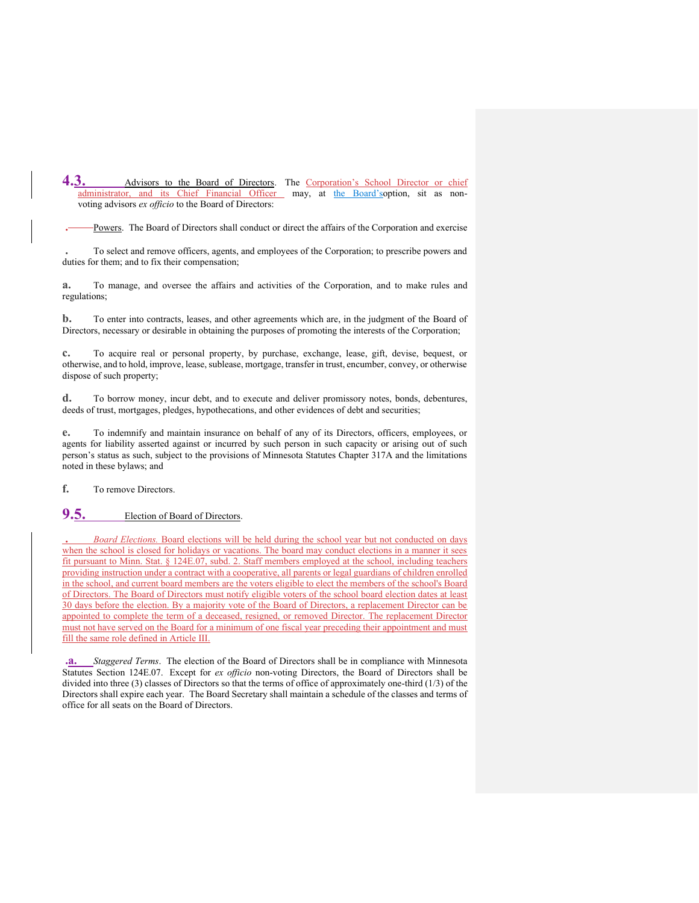4.3. Advisors to the Board of Directors. The Corporation's School Director or chief administrator, and its Chief Financial Officer may, at the Board'soption, sit as nonvoting advisors *ex officio* to the Board of Directors:

**.** Powers. The Board of Directors shall conduct or direct the affairs of the Corporation and exercise

**.** To select and remove officers, agents, and employees of the Corporation; to prescribe powers and duties for them; and to fix their compensation;

**a.** To manage, and oversee the affairs and activities of the Corporation, and to make rules and regulations;

**b.** To enter into contracts, leases, and other agreements which are, in the judgment of the Board of Directors, necessary or desirable in obtaining the purposes of promoting the interests of the Corporation;

**c.** To acquire real or personal property, by purchase, exchange, lease, gift, devise, bequest, or otherwise, and to hold, improve, lease, sublease, mortgage, transfer in trust, encumber, convey, or otherwise dispose of such property;

**d.** To borrow money, incur debt, and to execute and deliver promissory notes, bonds, debentures, deeds of trust, mortgages, pledges, hypothecations, and other evidences of debt and securities;

**e.** To indemnify and maintain insurance on behalf of any of its Directors, officers, employees, or agents for liability asserted against or incurred by such person in such capacity or arising out of such person's status as such, subject to the provisions of Minnesota Statutes Chapter 317A and the limitations noted in these bylaws; and

**f.** To remove Directors.

## **9.5.** Election of Board of Directors.

**.** *Board Elections.* Board elections will be held during the school year but not conducted on days when the school is closed for holidays or vacations. The board may conduct elections in a manner it sees fit pursuant to Minn. Stat. § 124E.07, subd. 2. Staff members employed at the school, including teachers providing instruction under a contract with a cooperative, all parents or legal guardians of children enrolled in the school, and current board members are the voters eligible to elect the members of the school's Board of Directors. The Board of Directors must notify eligible voters of the school board election dates at least 30 days before the election. By a majority vote of the Board of Directors, a replacement Director can be appointed to complete the term of a deceased, resigned, or removed Director. The replacement Director must not have served on the Board for a minimum of one fiscal year preceding their appointment and must fill the same role defined in Article III.

**.a.** *Staggered Terms*. The election of the Board of Directors shall be in compliance with Minnesota Statutes Section 124E.07. Except for *ex officio* non-voting Directors, the Board of Directors shall be divided into three (3) classes of Directors so that the terms of office of approximately one-third (1/3) of the Directors shall expire each year. The Board Secretary shall maintain a schedule of the classes and terms of office for all seats on the Board of Directors.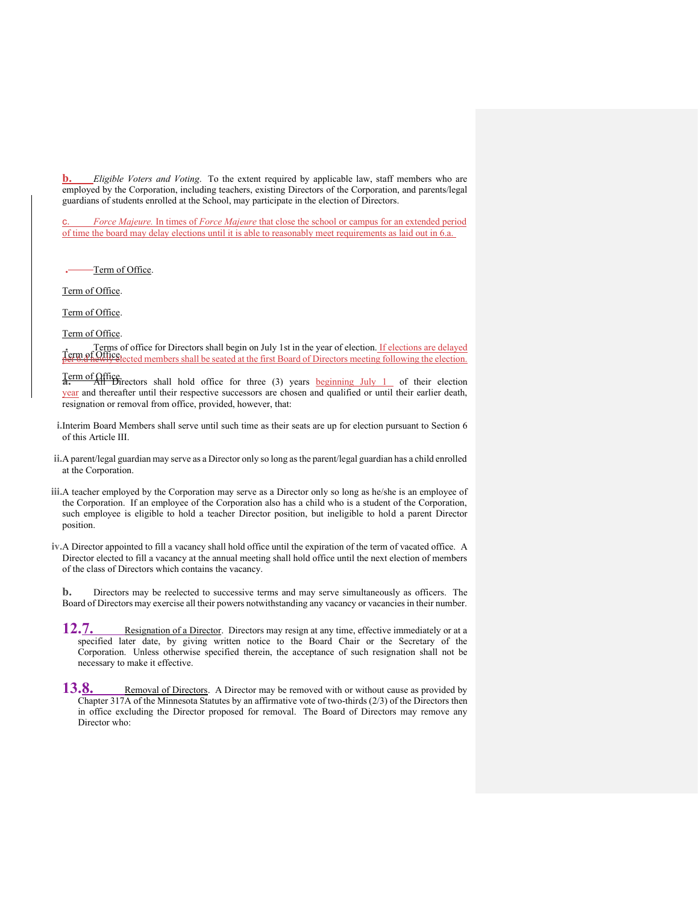**b.** *Eligible Voters and Voting*. To the extent required by applicable law, staff members who are employed by the Corporation, including teachers, existing Directors of the Corporation, and parents/legal guardians of students enrolled at the School, may participate in the election of Directors.

c. *Force Majeure.* In times of *Force Majeure* that close the school or campus for an extended period of time the board may delay elections until it is able to reasonably meet requirements as laid out in 6.a.

**.** Term of Office.

Term of Office.

Term of Office.

Term of Office.

Terms of office for Directors shall begin on July 1st in the year of election. <u>If elections are delayed</u><br>**Term of Office** lected members shall be seated at the first Board of Directors meeting following the election per 6.d newly elected members shall be seated at the first Board of Directors meeting following the election.

Term of Office. **a.** All Directors shall hold office for three (3) years beginning July 1 of their election year and thereafter until their respective successors are chosen and qualified or until their earlier death, resignation or removal from office, provided, however, that:

- **i.**Interim Board Members shall serve until such time as their seats are up for election pursuant to Section 6 of this Article III.
- **ii.**A parent/legal guardian may serve as a Director only so long as the parent/legal guardian has a child enrolled at the Corporation.
- **iii.**A teacher employed by the Corporation may serve as a Director only so long as he/she is an employee of the Corporation. If an employee of the Corporation also has a child who is a student of the Corporation, such employee is eligible to hold a teacher Director position, but ineligible to hold a parent Director position.
- **iv.**A Director appointed to fill a vacancy shall hold office until the expiration of the term of vacated office. A Director elected to fill a vacancy at the annual meeting shall hold office until the next election of members of the class of Directors which contains the vacancy.

**b.** Directors may be reelected to successive terms and may serve simultaneously as officers. The Board of Directors may exercise all their powers notwithstanding any vacancy or vacancies in their number.

- 12.7. Resignation of a Director. Directors may resign at any time, effective immediately or at a specified later date, by giving written notice to the Board Chair or the Secretary of the Corporation. Unless otherwise specified therein, the acceptance of such resignation shall not be necessary to make it effective.
- 13.8. Removal of Directors. A Director may be removed with or without cause as provided by Chapter 317A of the Minnesota Statutes by an affirmative vote of two-thirds (2/3) of the Directors then in office excluding the Director proposed for removal. The Board of Directors may remove any Director who: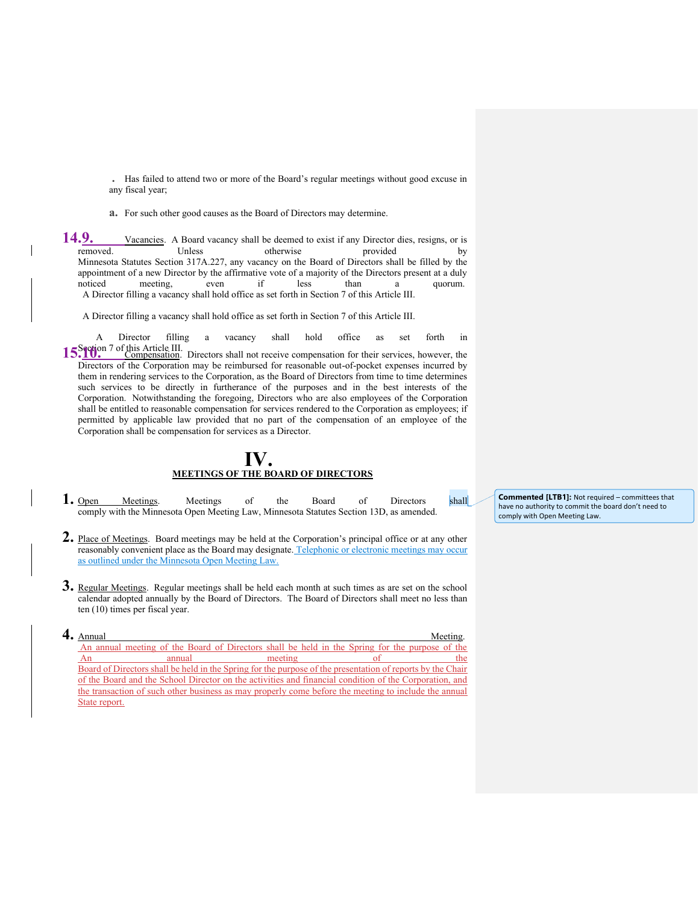**.** Has failed to attend two or more of the Board's regular meetings without good excuse in any fiscal year;

**a.** For such other good causes as the Board of Directors may determine.

**14.9.** Vacancies. A Board vacancy shall be deemed to exist if any Director dies, resigns, or is removed. Unless otherwise provided by removed. Unless otherwise provided by Minnesota Statutes Section 317A.227, any vacancy on the Board of Directors shall be filled by the appointment of a new Director by the affirmative vote of a majority of the Directors present at a duly noticed meeting, even if less than a quorum. noticed meeting, even if less than a quorum. A Director filling a vacancy shall hold office as set forth in Section 7 of this Article III.

A Director filling a vacancy shall hold office as set forth in Section 7 of this Article III.

A Director filling a vacancy shall hold office as set forth in 15.<sup>9</sup>10. <sup>7</sup> of this Article III. Directors shall not receive compensation for their services, however, the Directors of the Corporation may be reimbursed for reasonable out-of-pocket expenses incurred by them in rendering services to the Corporation, as the Board of Directors from time to time determines such services to be directly in furtherance of the purposes and in the best interests of the Corporation. Notwithstanding the foregoing, Directors who are also employees of the Corporation shall be entitled to reasonable compensation for services rendered to the Corporation as employees; if permitted by applicable law provided that no part of the compensation of an employee of the Corporation shall be compensation for services as a Director.

### **IV. MEETINGS OF THE BOARD OF DIRECTORS**

1. Open Meetings. Meetings of the Board of Directors shall comply with the Minnesota Open Meeting Law, Minnesota Statutes Section 13D, as amended.

**Commented [LTB1]:** Not required – committees that have no authority to commit the board don't need to comply with Open Meeting Law.

- **2.** Place of Meetings. Board meetings may be held at the Corporation's principal office or at any other reasonably convenient place as the Board may designate. Telephonic or electronic meetings may occur as outlined under the Minnesota Open Meeting Law.
- **3.** Regular Meetings. Regular meetings shall be held each month at such times as are set on the school calendar adopted annually by the Board of Directors. The Board of Directors shall meet no less than ten (10) times per fiscal year.
- **4.** Annual Meeting. An annual meeting of the Board of Directors shall be held in the Spring for the purpose of the An annual meeting of the Board of Directors shall be held in the Spring for the purpose of the presentation of reports by the Chair of the Board and the School Director on the activities and financial condition of the Corporation, and the transaction of such other business as may properly come before the meeting to include the annual State report.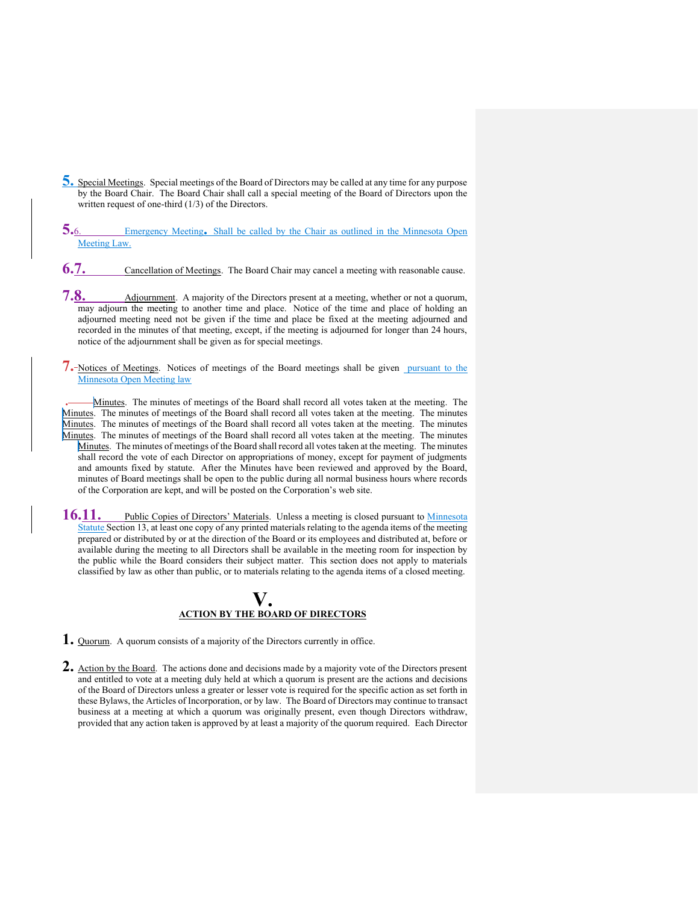- **5.** Special Meetings. Special meetings of the Board of Directors may be called at any time for any purpose by the Board Chair. The Board Chair shall call a special meeting of the Board of Directors upon the written request of one-third (1/3) of the Directors.
- **5.**6. Emergency Meeting. Shall be called by the Chair as outlined in the Minnesota Open Meeting Law.
- **6.7.** Cancellation of Meetings. The Board Chair may cancel a meeting with reasonable cause.
- **7.8.** Adjournment. A majority of the Directors present at a meeting, whether or not a quorum, may adjourn the meeting to another time and place. Notice of the time and place of holding an adjourned meeting need not be given if the time and place be fixed at the meeting adjourned and recorded in the minutes of that meeting, except, if the meeting is adjourned for longer than 24 hours, notice of the adjournment shall be given as for special meetings.
- **7.** Notices of Meetings. Notices of meetings of the Board meetings shall be given pursuant to the Minnesota Open Meeting law

**.** Minutes. The minutes of meetings of the Board shall record all votes taken at the meeting. The Minutes. The minutes of meetings of the Board shall record all votes taken at the meeting. The minutes Minutes. The minutes of meetings of the Board shall record all votes taken at the meeting. The minutes Minutes. The minutes of meetings of the Board shall record all votes taken at the meeting. The minutes Minutes. The minutes of meetings of the Board shall record all votes taken at the meeting. The minutes shall record the vote of each Director on appropriations of money, except for payment of judgments and amounts fixed by statute. After the Minutes have been reviewed and approved by the Board, minutes of Board meetings shall be open to the public during all normal business hours where records of the Corporation are kept, and will be posted on the Corporation's web site.

16.11. Public Copies of Directors' Materials. Unless a meeting is closed pursuant to Minnesota Statute Section 13, at least one copy of any printed materials relating to the agenda items of the meeting prepared or distributed by or at the direction of the Board or its employees and distributed at, before or available during the meeting to all Directors shall be available in the meeting room for inspection by the public while the Board considers their subject matter. This section does not apply to materials classified by law as other than public, or to materials relating to the agenda items of a closed meeting.

## **V. ACTION BY THE BOARD OF DIRECTORS**

- **1.** Quorum. A quorum consists of a majority of the Directors currently in office.
- **2.** Action by the Board. The actions done and decisions made by a majority vote of the Directors present and entitled to vote at a meeting duly held at which a quorum is present are the actions and decisions of the Board of Directors unless a greater or lesser vote is required for the specific action as set forth in these Bylaws, the Articles of Incorporation, or by law. The Board of Directors may continue to transact business at a meeting at which a quorum was originally present, even though Directors withdraw, provided that any action taken is approved by at least a majority of the quorum required. Each Director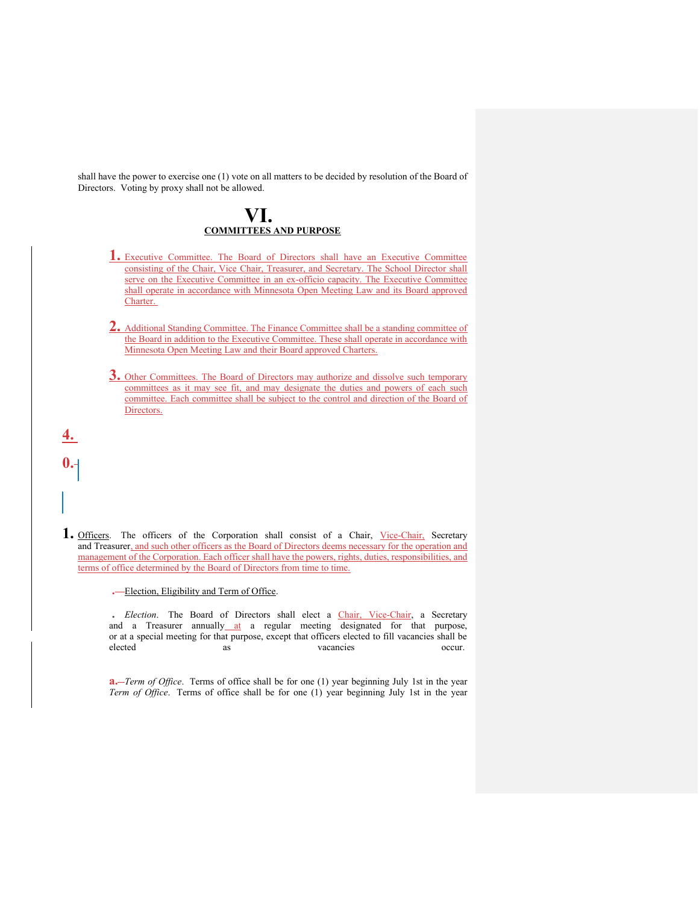shall have the power to exercise one (1) vote on all matters to be decided by resolution of the Board of Directors. Voting by proxy shall not be allowed.

## **VI. COMMITTEES AND PURPOSE**

- **1.** Executive Committee. The Board of Directors shall have an Executive Committee consisting of the Chair, Vice Chair, Treasurer, and Secretary. The School Director shall serve on the Executive Committee in an ex-officio capacity. The Executive Committee shall operate in accordance with Minnesota Open Meeting Law and its Board approved Charter.
- **2.** Additional Standing Committee. The Finance Committee shall be a standing committee of the Board in addition to the Executive Committee. These shall operate in accordance with Minnesota Open Meeting Law and their Board approved Charters.
- **3.** Other Committees. The Board of Directors may authorize and dissolve such temporary committees as it may see fit, and may designate the duties and powers of each such committee. Each committee shall be subject to the control and direction of the Board of Directors.

1. Officers. The officers of the Corporation shall consist of a Chair, Vice-Chair, Secretary and Treasurer, and such other officers as the Board of Directors deems necessary for the operation and management of the Corporation. Each officer shall have the powers, rights, duties, responsibilities, and terms of office determined by the Board of Directors from time to time.

**.** Election, Eligibility and Term of Office.

**4.**

**0.**

**.** *Election*. The Board of Directors shall elect a Chair, Vice-Chair, a Secretary and a Treasurer annually at a regular meeting designated for that purpose, or at a special meeting for that purpose, except that officers elected to fill vacancies shall be elected as as vacancies occur.

**a.** *-Term of Office*. Terms of office shall be for one (1) year beginning July 1st in the year *Term of Office*. Terms of office shall be for one (1) year beginning July 1st in the year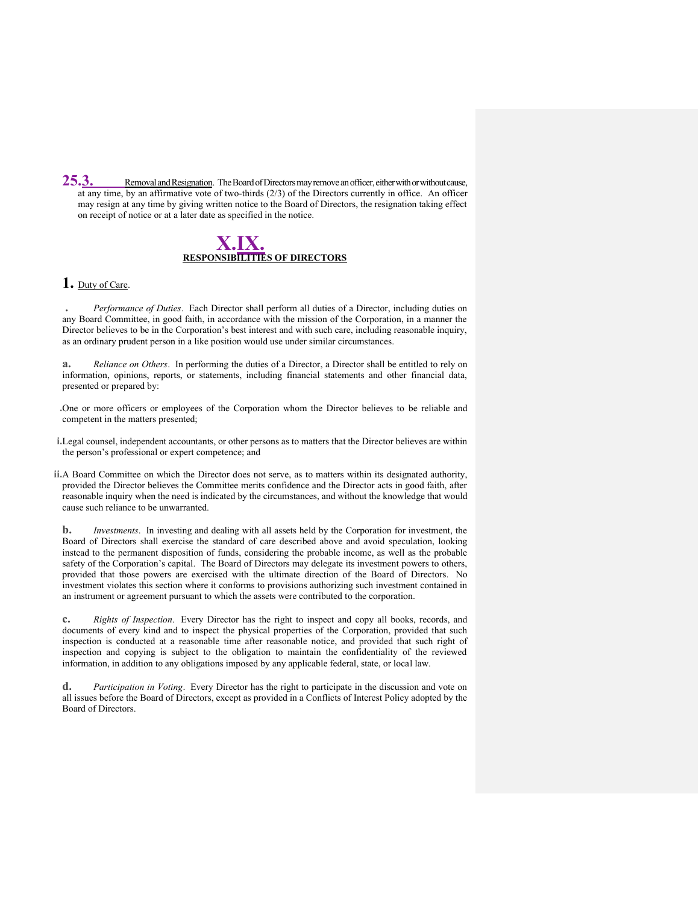**25.3.** Removal and Resignation. The Board of Directors may remove an officer, either with or without cause, at any time, by an affirmative vote of two-thirds (2/3) of the Directors currently in office. An officer may resign at any time by giving written notice to the Board of Directors, the resignation taking effect on receipt of notice or at a later date as specified in the notice.

## **X.IX. RESPONSIBILITIES OF DIRECTORS**

#### **1.** Duty of Care.

**.** *Performance of Duties*. Each Director shall perform all duties of a Director, including duties on any Board Committee, in good faith, in accordance with the mission of the Corporation, in a manner the Director believes to be in the Corporation's best interest and with such care, including reasonable inquiry, as an ordinary prudent person in a like position would use under similar circumstances.

**a.** *Reliance on Others*. In performing the duties of a Director, a Director shall be entitled to rely on information, opinions, reports, or statements, including financial statements and other financial data, presented or prepared by:

**.**One or more officers or employees of the Corporation whom the Director believes to be reliable and competent in the matters presented;

**i.**Legal counsel, independent accountants, or other persons as to matters that the Director believes are within the person's professional or expert competence; and

**ii.**A Board Committee on which the Director does not serve, as to matters within its designated authority, provided the Director believes the Committee merits confidence and the Director acts in good faith, after reasonable inquiry when the need is indicated by the circumstances, and without the knowledge that would cause such reliance to be unwarranted.

**b.** *Investments*. In investing and dealing with all assets held by the Corporation for investment, the Board of Directors shall exercise the standard of care described above and avoid speculation, looking instead to the permanent disposition of funds, considering the probable income, as well as the probable safety of the Corporation's capital. The Board of Directors may delegate its investment powers to others, provided that those powers are exercised with the ultimate direction of the Board of Directors. No investment violates this section where it conforms to provisions authorizing such investment contained in an instrument or agreement pursuant to which the assets were contributed to the corporation.

**c.** *Rights of Inspection*. Every Director has the right to inspect and copy all books, records, and documents of every kind and to inspect the physical properties of the Corporation, provided that such inspection is conducted at a reasonable time after reasonable notice, and provided that such right of inspection and copying is subject to the obligation to maintain the confidentiality of the reviewed information, in addition to any obligations imposed by any applicable federal, state, or local law.

**d.** *Participation in Voting*. Every Director has the right to participate in the discussion and vote on all issues before the Board of Directors, except as provided in a Conflicts of Interest Policy adopted by the Board of Directors.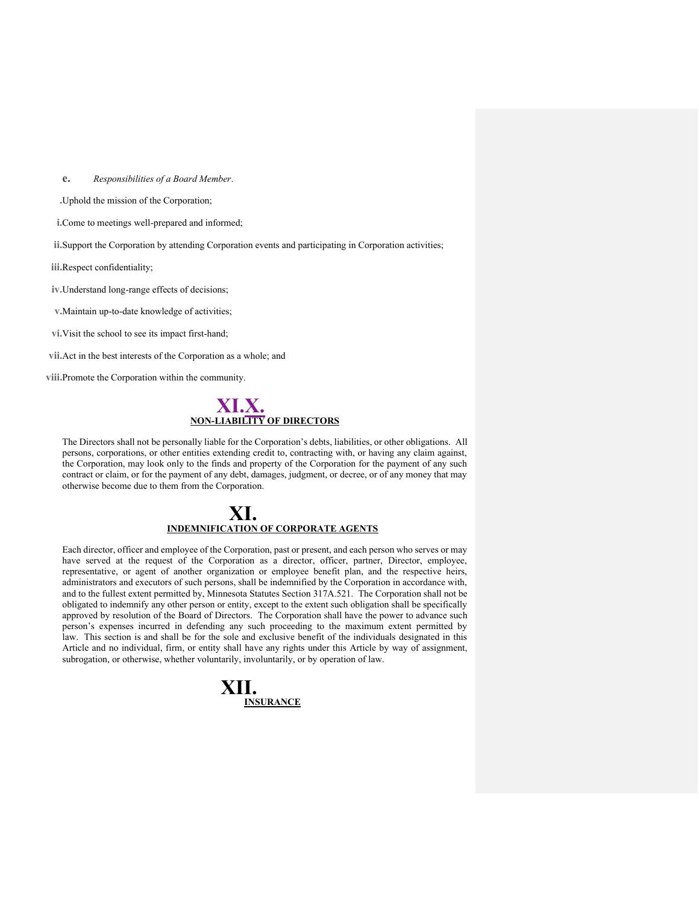#### **e.** *Responsibilities of a Board Member*.

**.**Uphold the mission of the Corporation;

**i.**Come to meetings well-prepared and informed;

**ii.**Support the Corporation by attending Corporation events and participating in Corporation activities;

**iii.**Respect confidentiality;

**iv.**Understand long-range effects of decisions;

**v.**Maintain up-to-date knowledge of activities;

**vi.**Visit the school to see its impact first-hand;

**vii.**Act in the best interests of the Corporation as a whole; and

**viii.**Promote the Corporation within the community.



The Directors shall not be personally liable for the Corporation's debts, liabilities, or other obligations. All persons, corporations, or other entities extending credit to, contracting with, or having any claim against, the Corporation, may look only to the finds and property of the Corporation for the payment of any such contract or claim, or for the payment of any debt, damages, judgment, or decree, or of any money that may otherwise become due to them from the Corporation.

## **XI. INDEMNIFICATION OF CORPORATE AGENTS**

Each director, officer and employee of the Corporation, past or present, and each person who serves or may have served at the request of the Corporation as a director, officer, partner, Director, employee, representative, or agent of another organization or employee benefit plan, and the respective heirs, administrators and executors of such persons, shall be indemnified by the Corporation in accordance with, and to the fullest extent permitted by, Minnesota Statutes Section 317A.521. The Corporation shall not be obligated to indemnify any other person or entity, except to the extent such obligation shall be specifically approved by resolution of the Board of Directors. The Corporation shall have the power to advance such person's expenses incurred in defending any such proceeding to the maximum extent permitted by law. This section is and shall be for the sole and exclusive benefit of the individuals designated in this Article and no individual, firm, or entity shall have any rights under this Article by way of assignment, subrogation, or otherwise, whether voluntarily, involuntarily, or by operation of law.

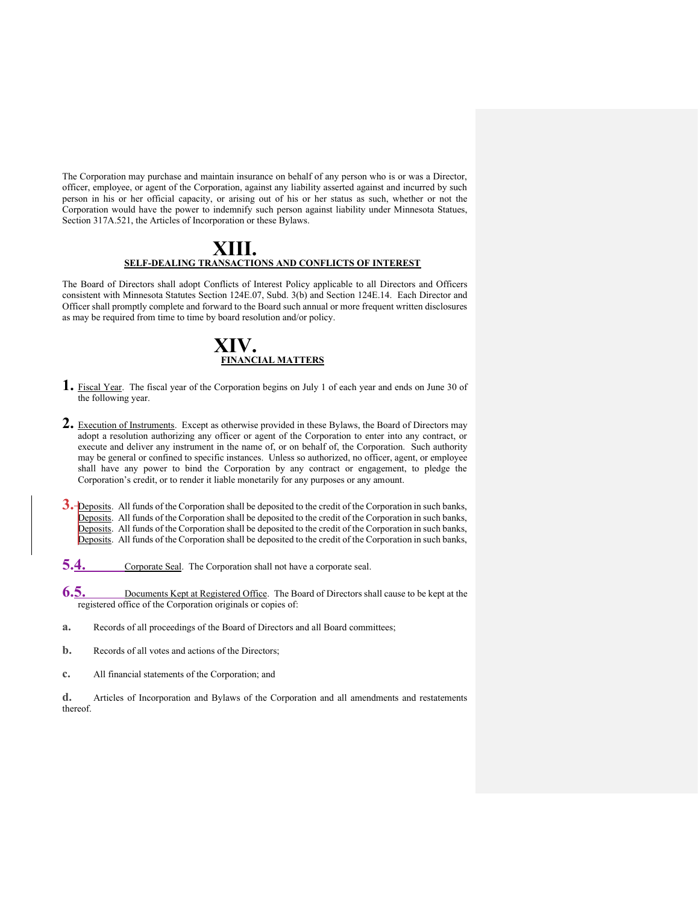The Corporation may purchase and maintain insurance on behalf of any person who is or was a Director, officer, employee, or agent of the Corporation, against any liability asserted against and incurred by such person in his or her official capacity, or arising out of his or her status as such, whether or not the Corporation would have the power to indemnify such person against liability under Minnesota Statues, Section 317A.521, the Articles of Incorporation or these Bylaws.

### **XIII. SELF-DEALING TRANSACTIONS AND CONFLICTS OF INTEREST**

The Board of Directors shall adopt Conflicts of Interest Policy applicable to all Directors and Officers consistent with Minnesota Statutes Section 124E.07, Subd. 3(b) and Section 124E.14. Each Director and Officer shall promptly complete and forward to the Board such annual or more frequent written disclosures as may be required from time to time by board resolution and/or policy.

## **XIV. FINANCIAL MATTERS**

- **1.** Fiscal Year. The fiscal year of the Corporation begins on July 1 of each year and ends on June 30 of the following year.
- **2.** Execution of Instruments. Except as otherwise provided in these Bylaws, the Board of Directors may adopt a resolution authorizing any officer or agent of the Corporation to enter into any contract, or execute and deliver any instrument in the name of, or on behalf of, the Corporation. Such authority may be general or confined to specific instances. Unless so authorized, no officer, agent, or employee shall have any power to bind the Corporation by any contract or engagement, to pledge the Corporation's credit, or to render it liable monetarily for any purposes or any amount.
- **3.** Deposits. All funds of the Corporation shall be deposited to the credit of the Corporation in such banks, Deposits. All funds of the Corporation shall be deposited to the credit of the Corporation in such banks, Deposits. All funds of the Corporation shall be deposited to the credit of the Corporation in such banks, Deposits. All funds of the Corporation shall be deposited to the credit of the Corporation in such banks,
- **5.4.** Corporate Seal. The Corporation shall not have a corporate seal.
- **6.5.** Documents Kept at Registered Office. The Board of Directors shall cause to be kept at the registered office of the Corporation originals or copies of:
- **a.** Records of all proceedings of the Board of Directors and all Board committees;
- **b.** Records of all votes and actions of the Directors;
- **c.** All financial statements of the Corporation; and

**d.** Articles of Incorporation and Bylaws of the Corporation and all amendments and restatements thereof.